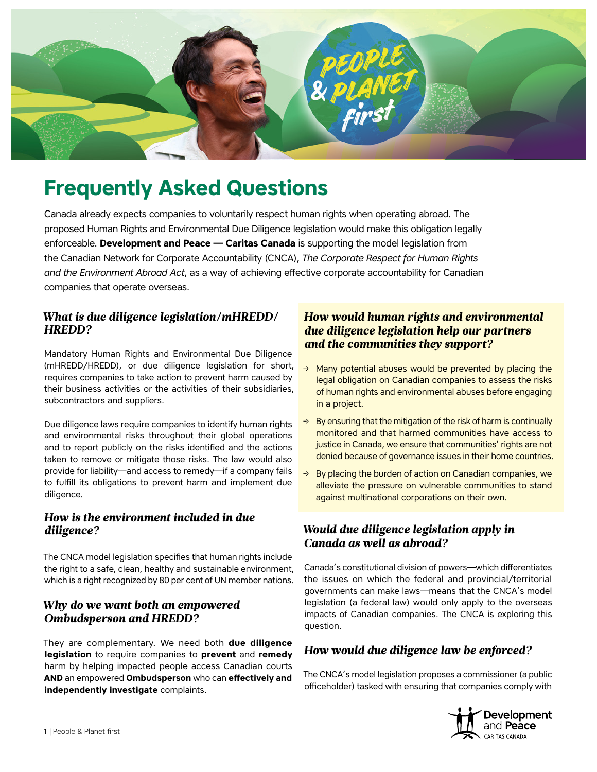

# **Frequently Asked Questions**

Canada already expects companies to voluntarily respect human rights when operating abroad. The proposed Human Rights and Environmental Due Diligence legislation would make this obligation legally enforceable. **Development and Peace — Caritas Canada** is supporting the model legislation from the Canadian Network for Corporate Accountability (CNCA), *The Corporate Respect for Human Rights and the Environment Abroad Act*, as a way of achieving effective corporate accountability for Canadian companies that operate overseas.

## *What is due diligence legislation/mHREDD/ HREDD?*

Mandatory Human Rights and Environmental Due Diligence (mHREDD/HREDD), or due diligence legislation for short, requires companies to take action to prevent harm caused by their business activities or the activities of their subsidiaries, subcontractors and suppliers.

Due diligence laws require companies to identify human rights and environmental risks throughout their global operations and to report publicly on the risks identified and the actions taken to remove or mitigate those risks. The law would also provide for liability—and access to remedy—if a company fails to fulfill its obligations to prevent harm and implement due diligence.

#### *How is the environment included in due diligence?*

The CNCA model legislation specifies that human rights include the right to a safe, clean, healthy and sustainable environment, which is a right recognized by 80 per cent of UN member nations.

## *Why do we want both an empowered Ombudsperson and HREDD?*

They are complementary. We need both **due diligence legislation** to require companies to **prevent** and **remedy**  harm by helping impacted people access Canadian courts **AND** an empowered **Ombudsperson** who can **effectively and independently investigate** complaints.

## *How would human rights and environmental due diligence legislation help our partners and the communities they support?*

- $\rightarrow$  Many potential abuses would be prevented by placing the legal obligation on Canadian companies to assess the risks of human rights and environmental abuses before engaging in a project.
- $\rightarrow$  By ensuring that the mitigation of the risk of harm is continually monitored and that harmed communities have access to justice in Canada, we ensure that communities' rights are not denied because of governance issues in their home countries.
- $\rightarrow$  By placing the burden of action on Canadian companies, we alleviate the pressure on vulnerable communities to stand against multinational corporations on their own.

## *Would due diligence legislation apply in Canada as well as abroad?*

Canada's constitutional division of powers—which differentiates the issues on which the federal and provincial/territorial governments can make laws—means that the CNCA's model legislation (a federal law) would only apply to the overseas impacts of Canadian companies. The CNCA is exploring this question.

## *How would due diligence law be enforced?*

The CNCA's model legislation proposes a commissioner (a public officeholder) tasked with ensuring that companies comply with